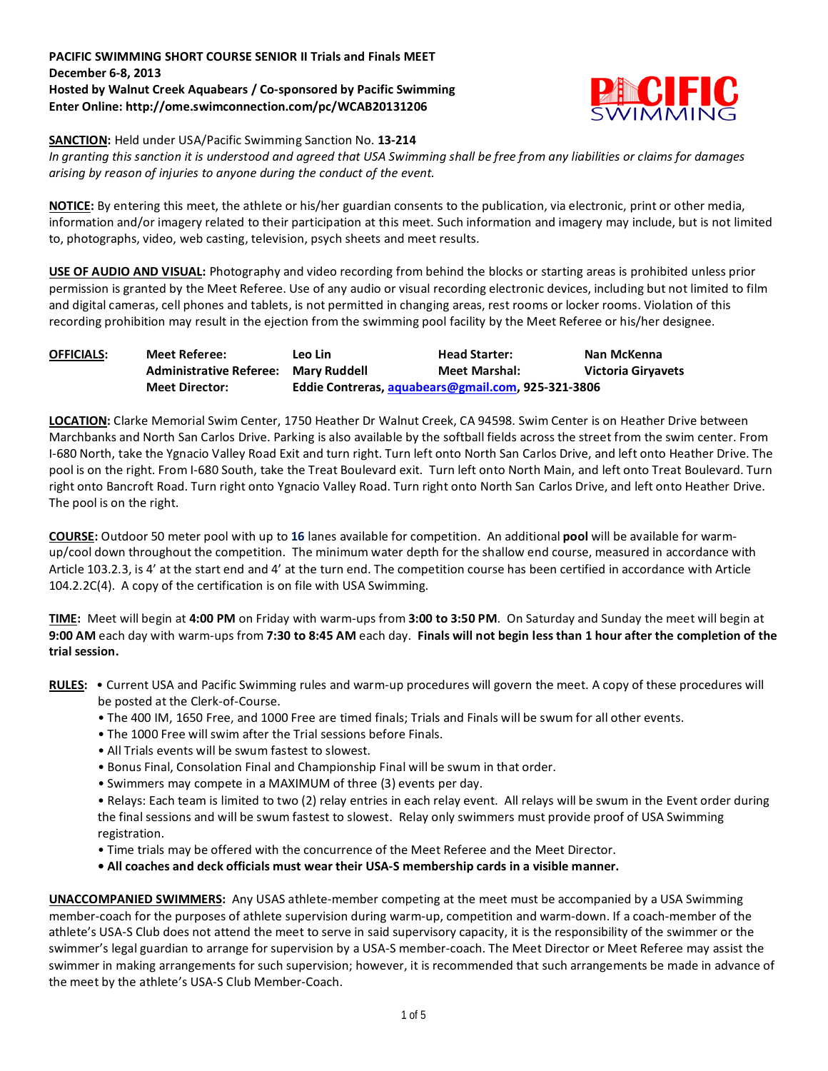## **PACIFIC SWIMMING SHORT COURSE SENIOR II Trials and Finals MEET December 6-8, 2013 Hosted by Walnut Creek Aquabears / Co-sponsored by Pacific Swimming Enter Online: http://ome.swimconnection.com/pc/WCAB20131206**



**SANCTION:** Held under USA/Pacific Swimming Sanction No. **13-214**

*In granting this sanction it is understood and agreed that USA Swimming shall be free from any liabilities or claims for damages arising by reason of injuries to anyone during the conduct of the event.*

**NOTICE:** By entering this meet, the athlete or his/her guardian consents to the publication, via electronic, print or other media, information and/or imagery related to their participation at this meet. Such information and imagery may include, but is not limited to, photographs, video, web casting, television, psych sheets and meet results.

**USE OF AUDIO AND VISUAL:** Photography and video recording from behind the blocks or starting areas is prohibited unless prior permission is granted by the Meet Referee. Use of any audio or visual recording electronic devices, including but not limited to film and digital cameras, cell phones and tablets, is not permitted in changing areas, rest rooms or locker rooms. Violation of this recording prohibition may result in the ejection from the swimming pool facility by the Meet Referee or his/her designee.

| <b>OFFICIALS:</b> | Meet Referee:                  | Leo Lin      | <b>Head Starter:</b>                               | Nan McKenna               |
|-------------------|--------------------------------|--------------|----------------------------------------------------|---------------------------|
|                   | <b>Administrative Referee:</b> | Marv Ruddell | <b>Meet Marshal:</b>                               | <b>Victoria Girvavets</b> |
|                   | <b>Meet Director:</b>          |              | Eddie Contreras, aquabears@gmail.com, 925-321-3806 |                           |

**LOCATION:** Clarke Memorial Swim Center, 1750 Heather Dr Walnut Creek, CA 94598. Swim Center is on Heather Drive between Marchbanks and North San Carlos Drive. Parking is also available by the softball fields across the street from the swim center. From I-680 North, take the Ygnacio Valley Road Exit and turn right. Turn left onto North San Carlos Drive, and left onto Heather Drive. The pool is on the right. From I-680 South, take the Treat Boulevard exit. Turn left onto North Main, and left onto Treat Boulevard. Turn right onto Bancroft Road. Turn right onto Ygnacio Valley Road. Turn right onto North San Carlos Drive, and left onto Heather Drive. The pool is on the right.

**COURSE:** Outdoor 50 meter pool with up to **16** lanes available for competition. An additional **pool** will be available for warmup/cool down throughout the competition. The minimum water depth for the shallow end course, measured in accordance with Article 103.2.3, is 4' at the start end and 4' at the turn end. The competition course has been certified in accordance with Article 104.2.2C(4). A copy of the certification is on file with USA Swimming.

**TIME:** Meet will begin at **4:00 PM** on Friday with warm-ups from **3:00 to 3:50 PM**. On Saturday and Sunday the meet will begin at **9:00 AM** each day with warm-ups from **7:30 to 8:45 AM** each day. **Finals will not begin less than 1 hour after the completion of the trial session.**

- **RULES:**  Current USA and Pacific Swimming rules and warm-up procedures will govern the meet. A copy of these procedures will be posted at the Clerk-of-Course.
	- The 400 IM, 1650 Free, and 1000 Free are timed finals; Trials and Finals will be swum for all other events.
	- The 1000 Free will swim after the Trial sessions before Finals.
	- All Trials events will be swum fastest to slowest.
	- Bonus Final, Consolation Final and Championship Final will be swum in that order.
	- Swimmers may compete in a MAXIMUM of three (3) events per day.

• Relays: Each team is limited to two (2) relay entries in each relay event. All relays will be swum in the Event order during the final sessions and will be swum fastest to slowest. Relay only swimmers must provide proof of USA Swimming registration.

- Time trials may be offered with the concurrence of the Meet Referee and the Meet Director.
- **All coaches and deck officials must wear their USA-S membership cards in a visible manner.**

**UNACCOMPANIED SWIMMERS:** Any USAS athlete-member competing at the meet must be accompanied by a USA Swimming member-coach for the purposes of athlete supervision during warm-up, competition and warm-down. If a coach-member of the athlete's USA-S Club does not attend the meet to serve in said supervisory capacity, it is the responsibility of the swimmer or the swimmer's legal guardian to arrange for supervision by a USA-S member-coach. The Meet Director or Meet Referee may assist the swimmer in making arrangements for such supervision; however, it is recommended that such arrangements be made in advance of the meet by the athlete's USA-S Club Member-Coach.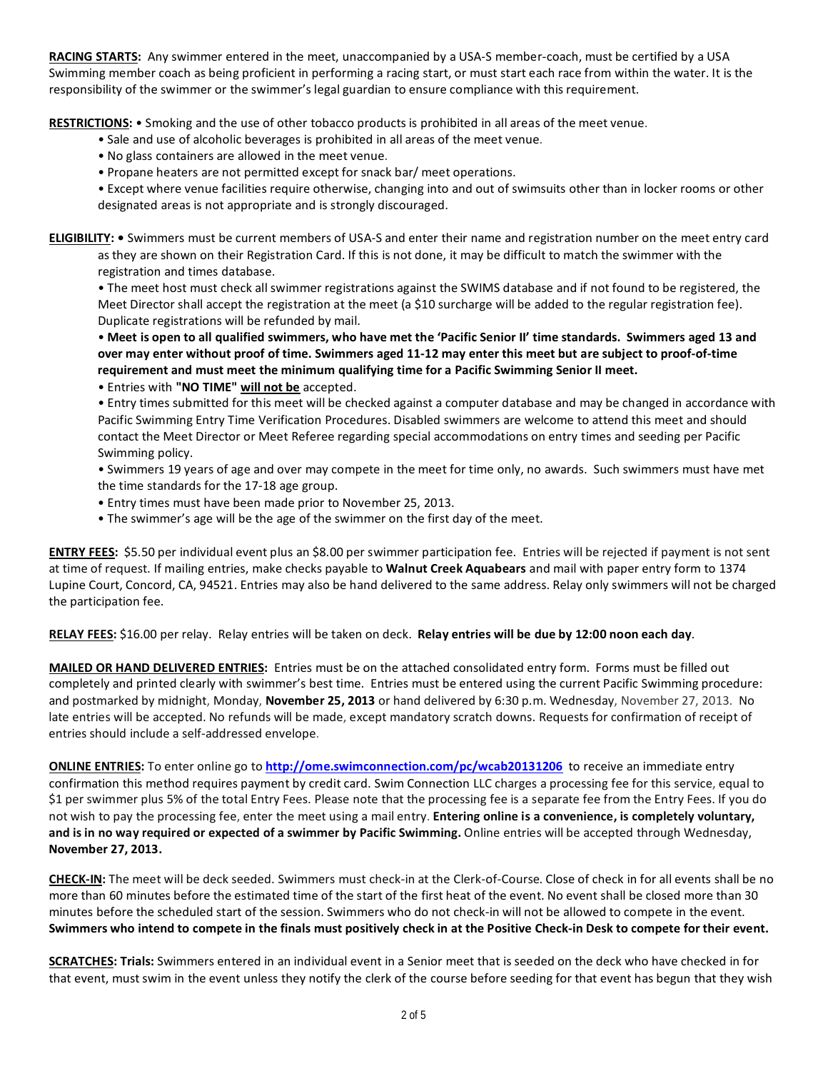**RACING STARTS:** Any swimmer entered in the meet, unaccompanied by a USA-S member-coach, must be certified by a USA Swimming member coach as being proficient in performing a racing start, or must start each race from within the water. It is the responsibility of the swimmer or the swimmer's legal guardian to ensure compliance with this requirement.

**RESTRICTIONS:** • Smoking and the use of other tobacco products is prohibited in all areas of the meet venue.

- Sale and use of alcoholic beverages is prohibited in all areas of the meet venue.
- No glass containers are allowed in the meet venue.
- Propane heaters are not permitted except for snack bar/ meet operations.

• Except where venue facilities require otherwise, changing into and out of swimsuits other than in locker rooms or other designated areas is not appropriate and is strongly discouraged.

**ELIGIBILITY: •** Swimmers must be current members of USA-S and enter their name and registration number on the meet entry card as they are shown on their Registration Card. If this is not done, it may be difficult to match the swimmer with the registration and times database.

• The meet host must check all swimmer registrations against the SWIMS database and if not found to be registered, the Meet Director shall accept the registration at the meet (a \$10 surcharge will be added to the regular registration fee). Duplicate registrations will be refunded by mail.

• **Meet is open to all qualified swimmers, who have met the 'Pacific Senior II' time standards. Swimmers aged 13 and over may enter without proof of time. Swimmers aged 11-12 may enter this meet but are subject to proof-of-time requirement and must meet the minimum qualifying time for a Pacific Swimming Senior II meet.** 

• Entries with **"NO TIME" will not be** accepted.

• Entry times submitted for this meet will be checked against a computer database and may be changed in accordance with Pacific Swimming Entry Time Verification Procedures. Disabled swimmers are welcome to attend this meet and should contact the Meet Director or Meet Referee regarding special accommodations on entry times and seeding per Pacific Swimming policy.

• Swimmers 19 years of age and over may compete in the meet for time only, no awards. Such swimmers must have met the time standards for the 17-18 age group.

- Entry times must have been made prior to November 25, 2013.
- The swimmer's age will be the age of the swimmer on the first day of the meet.

**ENTRY FEES:** \$5.50 per individual event plus an \$8.00 per swimmer participation fee. Entries will be rejected if payment is not sent at time of request. If mailing entries, make checks payable to **Walnut Creek Aquabears** and mail with paper entry form to 1374 Lupine Court, Concord, CA, 94521. Entries may also be hand delivered to the same address. Relay only swimmers will not be charged the participation fee.

**RELAY FEES:** \$16.00 per relay. Relay entries will be taken on deck. **Relay entries will be due by 12:00 noon each day**.

**MAILED OR HAND DELIVERED ENTRIES:** Entries must be on the attached consolidated entry form. Forms must be filled out completely and printed clearly with swimmer's best time. Entries must be entered using the current Pacific Swimming procedure: and postmarked by midnight, Monday, **November 25, 2013** or hand delivered by 6:30 p.m. Wednesday, November 27, 2013. No late entries will be accepted. No refunds will be made, except mandatory scratch downs. Requests for confirmation of receipt of entries should include a self-addressed envelope.

**ONLINE ENTRIES:** To enter online go to **<http://ome.swimconnection.com/pc/wcab20131206>**to receive an immediate entry confirmation this method requires payment by credit card. Swim Connection LLC charges a processing fee for this service, equal to \$1 per swimmer plus 5% of the total Entry Fees. Please note that the processing fee is a separate fee from the Entry Fees. If you do not wish to pay the processing fee, enter the meet using a mail entry. **Entering online is a convenience, is completely voluntary, and is in no way required or expected of a swimmer by Pacific Swimming.** Online entries will be accepted through Wednesday, **November 27, 2013.**

**CHECK-IN:** The meet will be deck seeded. Swimmers must check-in at the Clerk-of-Course. Close of check in for all events shall be no more than 60 minutes before the estimated time of the start of the first heat of the event. No event shall be closed more than 30 minutes before the scheduled start of the session. Swimmers who do not check-in will not be allowed to compete in the event. **Swimmers who intend to compete in the finals must positively check in at the Positive Check-in Desk to compete for their event.**

**SCRATCHES: Trials:** Swimmers entered in an individual event in a Senior meet that is seeded on the deck who have checked in for that event, must swim in the event unless they notify the clerk of the course before seeding for that event has begun that they wish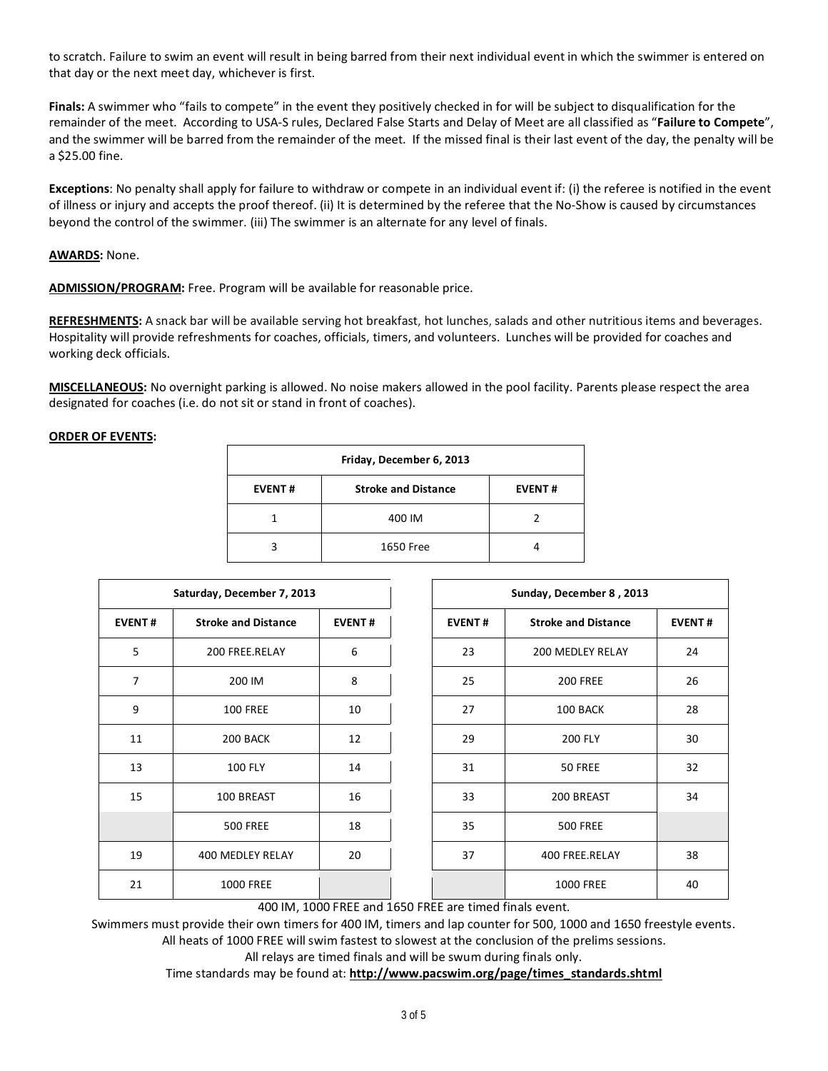to scratch. Failure to swim an event will result in being barred from their next individual event in which the swimmer is entered on that day or the next meet day, whichever is first.

**Finals:** A swimmer who "fails to compete" in the event they positively checked in for will be subject to disqualification for the remainder of the meet. According to USA-S rules, Declared False Starts and Delay of Meet are all classified as "**Failure to Compete**", and the swimmer will be barred from the remainder of the meet. If the missed final is their last event of the day, the penalty will be a \$25.00 fine.

**Exceptions**: No penalty shall apply for failure to withdraw or compete in an individual event if: (i) the referee is notified in the event of illness or injury and accepts the proof thereof. (ii) It is determined by the referee that the No-Show is caused by circumstances beyond the control of the swimmer. (iii) The swimmer is an alternate for any level of finals.

### **AWARDS:** None.

**ADMISSION/PROGRAM:** Free. Program will be available for reasonable price.

**REFRESHMENTS:** A snack bar will be available serving hot breakfast, hot lunches, salads and other nutritious items and beverages. Hospitality will provide refreshments for coaches, officials, timers, and volunteers. Lunches will be provided for coaches and working deck officials.

**MISCELLANEOUS:** No overnight parking is allowed. No noise makers allowed in the pool facility. Parents please respect the area designated for coaches (i.e. do not sit or stand in front of coaches).

### **ORDER OF EVENTS:**

| Friday, December 6, 2013 |                            |               |  |  |  |  |  |
|--------------------------|----------------------------|---------------|--|--|--|--|--|
| <b>EVENT#</b>            | <b>Stroke and Distance</b> | <b>EVENT#</b> |  |  |  |  |  |
|                          | 400 IM                     |               |  |  |  |  |  |
| ς                        | 1650 Free                  |               |  |  |  |  |  |

|                | Saturday, December 7, 2013                  |    | Sunday, December 8, 2013 |                            |               |  |  |
|----------------|---------------------------------------------|----|--------------------------|----------------------------|---------------|--|--|
| <b>EVENT#</b>  | <b>Stroke and Distance</b><br><b>EVENT#</b> |    | <b>EVENT#</b>            | <b>Stroke and Distance</b> | <b>EVENT#</b> |  |  |
| 5              | 200 FREE.RELAY                              | 6  | 23                       | <b>200 MEDLEY RELAY</b>    | 24            |  |  |
| $\overline{7}$ | 200 IM                                      | 8  | 25                       | <b>200 FREE</b>            | 26            |  |  |
| 9              | <b>100 FREE</b>                             | 10 | 27                       | 100 BACK                   | 28            |  |  |
| 11             | 200 BACK                                    | 12 | 29                       | <b>200 FLY</b>             | 30            |  |  |
| 13             | <b>100 FLY</b>                              | 14 | 31                       | 50 FREE                    | 32            |  |  |
| 15             | 100 BREAST                                  | 16 | 33                       | 200 BREAST                 | 34            |  |  |
|                | <b>500 FREE</b>                             | 18 | 35                       | <b>500 FREE</b>            |               |  |  |
| 19             | 400 MEDLEY RELAY                            | 20 | 37                       | 400 FREE.RELAY             | 38            |  |  |
| 21             | <b>1000 FREE</b>                            |    |                          | <b>1000 FREE</b>           | 40            |  |  |

400 IM, 1000 FREE and 1650 FREE are timed finals event.

Swimmers must provide their own timers for 400 IM, timers and lap counter for 500, 1000 and 1650 freestyle events. All heats of 1000 FREE will swim fastest to slowest at the conclusion of the prelims sessions.

All relays are timed finals and will be swum during finals only.

Time standards may be found at: **[http://www.pacswim.org/page/times\\_standards.shtml](http://www.pacswim.org/page/times_standards.shtml)**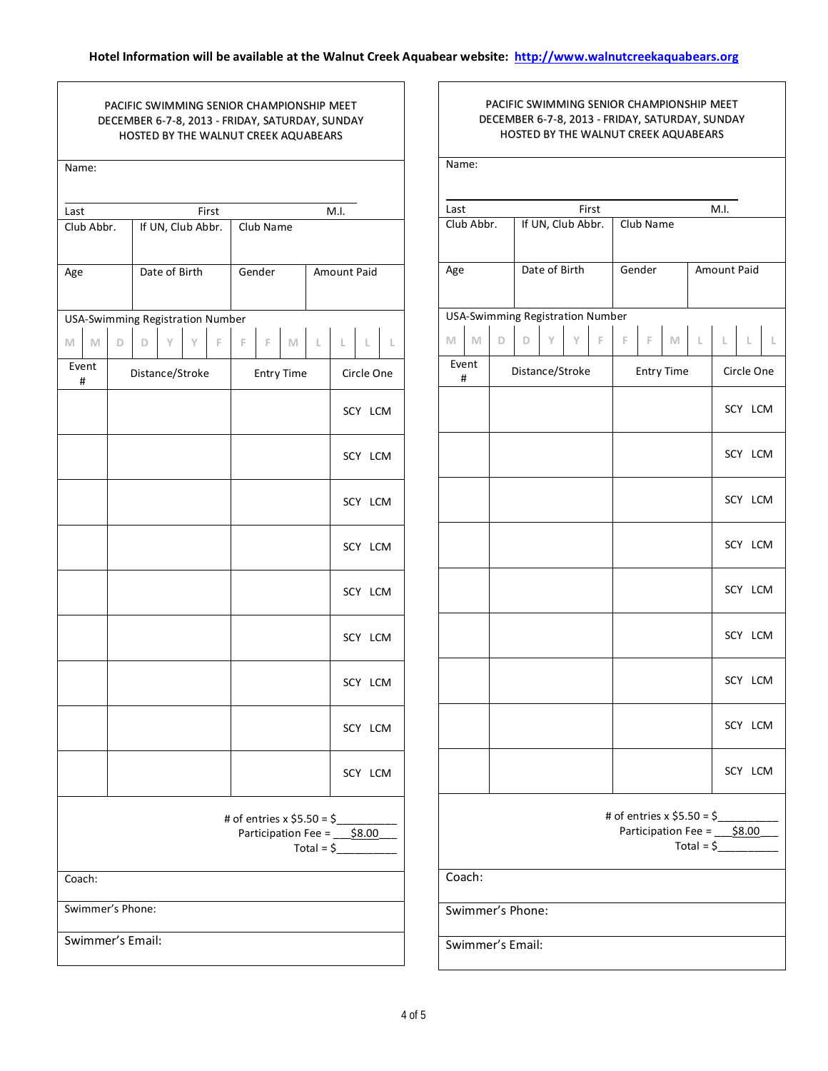# PACIFIC SWIMMING SENIOR CHAMPIONSHIP MEET DECEMBER 6-7-8, 2013 - FRIDAY, SATURDAY, SUNDAY HOSTED BY THE WALNUT CREEK AQUABEARS

| Name:              |            |                                         |                   |   |   |       |                   |        |                                                           |           |              |         |   |
|--------------------|------------|-----------------------------------------|-------------------|---|---|-------|-------------------|--------|-----------------------------------------------------------|-----------|--------------|---------|---|
|                    |            |                                         |                   |   |   | First |                   |        |                                                           |           | M.I.         |         |   |
| Last<br>Club Abbr. |            |                                         | If UN, Club Abbr. |   |   |       | Club Name         |        |                                                           |           |              |         |   |
|                    |            |                                         |                   |   |   |       |                   |        |                                                           |           |              |         |   |
| Age                |            |                                         | Date of Birth     |   |   |       |                   | Gender |                                                           |           | Amount Paid  |         |   |
|                    |            |                                         |                   |   |   |       |                   |        |                                                           |           |              |         |   |
|                    |            | <b>USA-Swimming Registration Number</b> |                   |   |   |       |                   |        |                                                           |           |              |         |   |
| M                  | M          | D                                       | D                 | Y | Y | F.    | F                 | F.     |                                                           | $M \perp$ | $\mathbb{L}$ | L       | L |
|                    | Event<br># |                                         | Distance/Stroke   |   |   |       | <b>Entry Time</b> |        |                                                           |           | Circle One   |         |   |
|                    |            |                                         |                   |   |   |       |                   |        |                                                           |           |              | SCY LCM |   |
|                    |            |                                         |                   |   |   |       |                   |        |                                                           |           |              | SCY LCM |   |
|                    |            |                                         |                   |   |   |       |                   |        |                                                           |           |              | SCY LCM |   |
|                    |            |                                         |                   |   |   |       |                   |        |                                                           |           |              | SCY LCM |   |
|                    |            |                                         |                   |   |   |       |                   |        |                                                           |           | SCY LCM      |         |   |
|                    |            |                                         |                   |   |   |       |                   |        |                                                           |           |              | SCY LCM |   |
|                    |            |                                         |                   |   |   |       |                   |        |                                                           |           |              | SCY LCM |   |
|                    |            |                                         |                   |   |   |       |                   |        |                                                           |           |              | SCY LCM |   |
|                    |            |                                         |                   |   |   |       |                   |        |                                                           |           |              | SCY LCM |   |
|                    |            |                                         |                   |   |   |       |                   |        |                                                           |           |              |         |   |
|                    |            |                                         |                   |   |   |       |                   |        | # of entries x $$5.50 = $$<br>Participation Fee = $$8.00$ |           |              |         |   |
|                    |            |                                         |                   |   |   |       |                   |        |                                                           |           | $Total = $$  |         |   |
| Coach:             |            |                                         |                   |   |   |       |                   |        |                                                           |           |              |         |   |
|                    |            | Swimmer's Phone:                        |                   |   |   |       |                   |        |                                                           |           |              |         |   |
|                    |            | Swimmer's Email:                        |                   |   |   |       |                   |        |                                                           |           |              |         |   |
|                    |            |                                         |                   |   |   |       |                   |        |                                                           |           |              |         |   |

### PACIFIC SWIMMING SENIOR CHAMPIONSHIP MEET DECEMBER 6-7-8, 2013 - FRIDAY, SATURDAY, SUNDAY HOSTED BY THE WALNUT CREEK AQUABEARS

| Name:                                                                    |   |   |   |                 |                     |  |                   |  |                         |            |
|--------------------------------------------------------------------------|---|---|---|-----------------|---------------------|--|-------------------|--|-------------------------|------------|
|                                                                          |   |   |   |                 |                     |  |                   |  |                         |            |
| Last                                                                     |   |   |   |                 | First               |  |                   |  | M.I.                    |            |
| Club Abbr.<br>If UN, Club Abbr.                                          |   |   |   |                 |                     |  | Club Name         |  |                         |            |
|                                                                          |   |   |   |                 |                     |  |                   |  |                         |            |
| Age                                                                      |   |   |   | Date of Birth   |                     |  | Gender            |  | <b>Amount Paid</b>      |            |
|                                                                          |   |   |   |                 |                     |  |                   |  |                         |            |
| <b>USA-Swimming Registration Number</b>                                  |   |   |   |                 |                     |  |                   |  |                         |            |
| M<br>M                                                                   | D | D | Y | $Y -$           | $\sim$ F $_{\odot}$ |  |                   |  | $F$ $F$ $M$ $L$ $L$ $L$ |            |
| Event<br>#                                                               |   |   |   | Distance/Stroke |                     |  | <b>Entry Time</b> |  |                         | Circle One |
|                                                                          |   |   |   |                 |                     |  |                   |  |                         | SCY LCM    |
|                                                                          |   |   |   |                 |                     |  |                   |  |                         | SCY LCM    |
|                                                                          |   |   |   |                 |                     |  |                   |  |                         | SCY LCM    |
|                                                                          |   |   |   |                 |                     |  |                   |  |                         | SCY LCM    |
|                                                                          |   |   |   |                 |                     |  |                   |  |                         | SCY LCM    |
|                                                                          |   |   |   |                 |                     |  |                   |  |                         | SCY LCM    |
|                                                                          |   |   |   |                 |                     |  |                   |  |                         | SCY LCM    |
|                                                                          |   |   |   |                 |                     |  |                   |  |                         | SCY LCM    |
|                                                                          |   |   |   |                 |                     |  |                   |  |                         | SCY LCM    |
| # of entries $x$ \$5.50 = \$<br>Participation Fee = 58.00<br>$Total = $$ |   |   |   |                 |                     |  |                   |  |                         |            |
| Coach:                                                                   |   |   |   |                 |                     |  |                   |  |                         |            |
| Swimmer's Phone:                                                         |   |   |   |                 |                     |  |                   |  |                         |            |
| Swimmer's Email:                                                         |   |   |   |                 |                     |  |                   |  |                         |            |